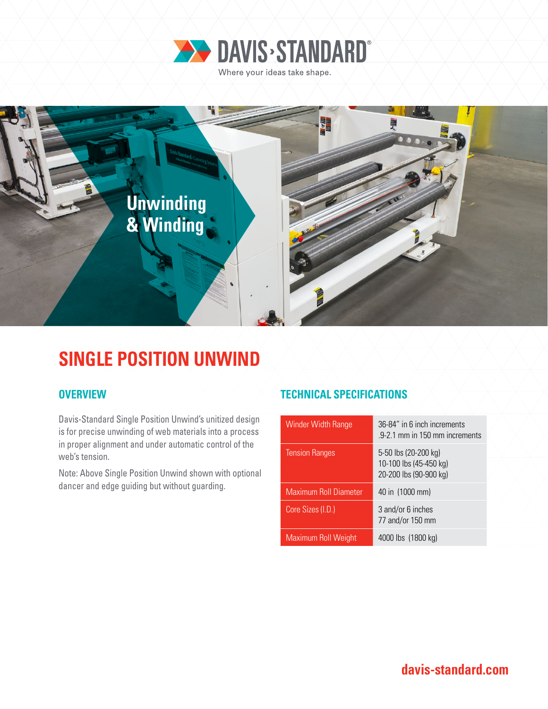



## **SINGLE POSITION UNWIND**

Davis-Standard Single Position Unwind's unitized design is for precise unwinding of web materials into a process in proper alignment and under automatic control of the web's tension.

Note: Above Single Position Unwind shown with optional dancer and edge guiding but without guarding.

### **OVERVIEW TECHNICAL SPECIFICATIONS**

| <b>Winder Width Range</b>    | 36-84" in 6 inch increments<br>.9-2.1 mm in 150 mm increments            |
|------------------------------|--------------------------------------------------------------------------|
| <b>Tension Ranges</b>        | 5-50 lbs (20-200 kg)<br>10-100 lbs (45-450 kg)<br>20-200 lbs (90-900 kg) |
| <b>Maximum Roll Diameter</b> | 40 in (1000 mm)                                                          |
| Core Sizes (I.D.)            | 3 and/or 6 inches<br>77 and/or 150 mm                                    |
| <b>Maximum Roll Weight</b>   | 4000 lbs (1800 kg)                                                       |